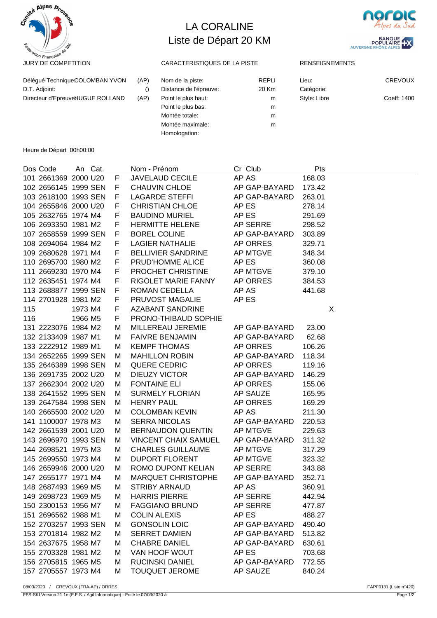

## LA CORALINE Liste de Départ 20 KM



| Délégué TechniqueCOLOMBAN YVON<br>D.T. Adjoint: | (AP) | Nom de la piste:<br>Distance de l'épreuve:                  | REPLI<br>20 Km | Lieu:<br>Catégorie: | <b>CREVOUX</b> |
|-------------------------------------------------|------|-------------------------------------------------------------|----------------|---------------------|----------------|
| Directeur d'EpreuveHUGUE ROLLAND                | (AP) | Point le plus haut:<br>Point le plus bas:<br>Montée totale: | m<br>m<br>m    | Style: Libre        | Coeff: 1400    |
|                                                 |      | Montée maximale:<br>Homologation:                           | m              |                     |                |

Heure de Départ 00h00:00

| Dos Code             | An Cat. |             | Nom - Prénom                | Cr Club         | Pts    |
|----------------------|---------|-------------|-----------------------------|-----------------|--------|
| 101 2661369 2000 U20 |         | F           | <b>JAVELAUD CECILE</b>      | AP AS           | 168.03 |
| 102 2656145 1999 SEN |         | F.          | <b>CHAUVIN CHLOE</b>        | AP GAP-BAYARD   | 173.42 |
| 103 2618100 1993 SEN |         | F           | <b>LAGARDE STEFFI</b>       | AP GAP-BAYARD   | 263.01 |
| 104 2655846 2000 U20 |         | F           | <b>CHRISTIAN CHLOE</b>      | AP ES           | 278.14 |
| 105 2632765 1974 M4  |         | $\mathsf F$ | <b>BAUDINO MURIEL</b>       | AP ES           | 291.69 |
| 106 2693350 1981 M2  |         | F           | <b>HERMITTE HELENE</b>      | AP SERRE        | 298.52 |
| 107 2658559 1999 SEN |         | F           | <b>BOREL COLINE</b>         | AP GAP-BAYARD   | 303.89 |
| 108 2694064 1984 M2  |         | F           | <b>LAGIER NATHALIE</b>      | AP ORRES        | 329.71 |
| 109 2680628 1971 M4  |         | F           | <b>BELLIVIER SANDRINE</b>   | AP MTGVE        | 348.34 |
| 110 2695700 1980 M2  |         | F           | PRUD'HOMME ALICE            | AP ES           | 360.08 |
| 111 2669230 1970 M4  |         | F           | PROCHET CHRISTINE           | AP MTGVE        | 379.10 |
| 112 2635451 1974 M4  |         | F           | RIGOLET MARIE FANNY         | AP ORRES        | 384.53 |
| 113 2688877 1999 SEN |         | F           | ROMAN CEDELLA               | AP AS           | 441.68 |
| 114 2701928 1981 M2  |         | F           | PRUVOST MAGALIE             | AP ES           |        |
| 115                  | 1973 M4 | F           | <b>AZABANT SANDRINE</b>     |                 | X      |
| 116                  | 1966 M5 | F           | PRONO-THIBAUD SOPHIE        |                 |        |
| 131 2223076 1984 M2  |         | М           | MILLEREAU JEREMIE           | AP GAP-BAYARD   | 23.00  |
| 132 2133409 1987 M1  |         | М           | <b>FAIVRE BENJAMIN</b>      | AP GAP-BAYARD   | 62.68  |
| 133 2222912 1989 M1  |         | М           | <b>KEMPF THOMAS</b>         | AP ORRES        | 106.26 |
| 134 2652265 1999 SEN |         | М           | <b>MAHILLON ROBIN</b>       | AP GAP-BAYARD   | 118.34 |
| 135 2646389 1998 SEN |         | M           | QUERE CEDRIC                | AP ORRES        | 119.16 |
| 136 2691735 2002 U20 |         | М           | <b>DIEUZY VICTOR</b>        | AP GAP-BAYARD   | 146.29 |
| 137 2662304 2002 U20 |         | М           | <b>FONTAINE ELI</b>         | AP ORRES        | 155.06 |
| 138 2641552 1995 SEN |         | М           | <b>SURMELY FLORIAN</b>      | AP SAUZE        | 165.95 |
| 139 2647584 1998 SEN |         | М           | <b>HENRY PAUL</b>           | AP ORRES        | 169.29 |
| 140 2665500 2002 U20 |         | М           | <b>COLOMBAN KEVIN</b>       | AP AS           | 211.30 |
| 141 1100007 1978 M3  |         | M           | <b>SERRA NICOLAS</b>        | AP GAP-BAYARD   | 220.53 |
| 142 2661539 2001 U20 |         | M           | <b>BERNAUDON QUENTIN</b>    | AP MTGVE        | 229.63 |
| 143 2696970 1993 SEN |         | M           | <b>VINCENT CHAIX SAMUEL</b> | AP GAP-BAYARD   | 311.32 |
| 144 2698521 1975 M3  |         | M           | <b>CHARLES GUILLAUME</b>    | <b>AP MTGVE</b> | 317.29 |
| 145 2699550 1973 M4  |         | М           | <b>DUPORT FLORENT</b>       | AP MTGVE        | 323.32 |
| 146 2659946 2000 U20 |         | М           | ROMO DUPONT KELIAN          | AP SERRE        | 343.88 |
| 147 2655177 1971 M4  |         | M           | MARQUET CHRISTOPHE          | AP GAP-BAYARD   | 352.71 |
| 148 2687493 1969 M5  |         | М           | <b>STRIBY ARNAUD</b>        | AP AS           | 360.91 |
| 149 2698723 1969 M5  |         | м           | <b>HARRIS PIERRE</b>        | AP SERRE        | 442.94 |
| 150 2300153 1956 M7  |         | м           | <b>FAGGIANO BRUNO</b>       | AP SERRE        | 477.87 |
| 151 2696562 1988 M1  |         | M           | <b>COLIN ALEXIS</b>         | AP ES           | 488.27 |
| 152 2703257 1993 SEN |         | M           | <b>GONSOLIN LOIC</b>        | AP GAP-BAYARD   | 490.40 |
| 153 2701814 1982 M2  |         | M           | <b>SERRET DAMIEN</b>        | AP GAP-BAYARD   | 513.82 |
| 154 2637675 1958 M7  |         | M           | <b>CHABRE DANIEL</b>        | AP GAP-BAYARD   | 630.61 |
| 155 2703328 1981 M2  |         | M           | VAN HOOF WOUT               | AP ES           | 703.68 |
| 156 2705815 1965 M5  |         | М           | <b>RUCINSKI DANIEL</b>      | AP GAP-BAYARD   | 772.55 |
| 157 2705557 1973 M4  |         | M           | <b>TOUQUET JEROME</b>       | AP SAUZE        | 840.24 |

FFS-SKI Version 21.1e (F.F.S. / Agil Informatique) - Edité le 07/03/2020 à Page 1/2